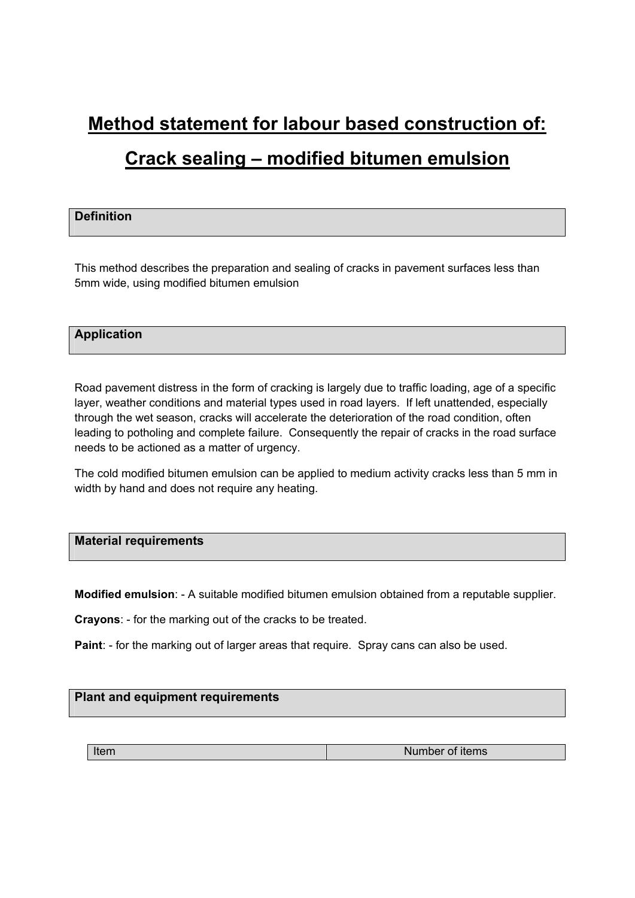# **Method statement for labour based construction of: Crack sealing – modified bitumen emulsion**

# **Definition**

This method describes the preparation and sealing of cracks in pavement surfaces less than 5mm wide, using modified bitumen emulsion

# **Application**

Road pavement distress in the form of cracking is largely due to traffic loading, age of a specific layer, weather conditions and material types used in road layers. If left unattended, especially through the wet season, cracks will accelerate the deterioration of the road condition, often leading to potholing and complete failure. Consequently the repair of cracks in the road surface needs to be actioned as a matter of urgency.

The cold modified bitumen emulsion can be applied to medium activity cracks less than 5 mm in width by hand and does not require any heating.

# **Material requirements**

**Modified emulsion**: - A suitable modified bitumen emulsion obtained from a reputable supplier.

**Crayons**: - for the marking out of the cracks to be treated.

**Paint**: - for the marking out of larger areas that require. Spray cans can also be used.

# **Plant and equipment requirements**

| Number of items |
|-----------------|
|                 |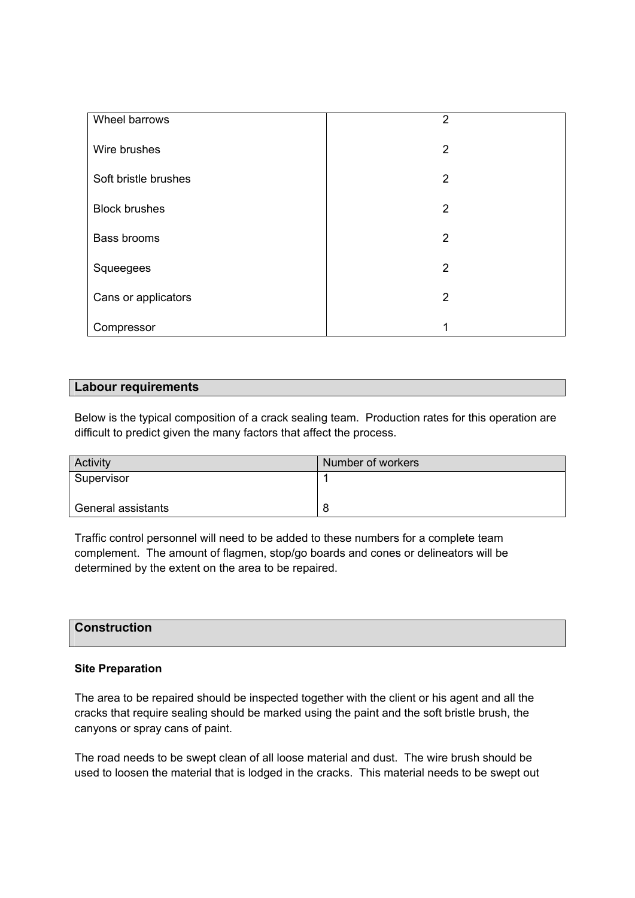| Wheel barrows        | $\overline{2}$ |
|----------------------|----------------|
| Wire brushes         | $\overline{2}$ |
| Soft bristle brushes | $\overline{2}$ |
| <b>Block brushes</b> | $\overline{2}$ |
| Bass brooms          | $\overline{2}$ |
| Squeegees            | $\overline{2}$ |
| Cans or applicators  | 2              |
| Compressor           | 4              |

# **Labour requirements**

Below is the typical composition of a crack sealing team. Production rates for this operation are difficult to predict given the many factors that affect the process.

| Activity           | Number of workers |
|--------------------|-------------------|
| Supervisor         |                   |
| General assistants | 8                 |

Traffic control personnel will need to be added to these numbers for a complete team complement. The amount of flagmen, stop/go boards and cones or delineators will be determined by the extent on the area to be repaired.

# **Construction**

# **Site Preparation**

The area to be repaired should be inspected together with the client or his agent and all the cracks that require sealing should be marked using the paint and the soft bristle brush, the canyons or spray cans of paint.

The road needs to be swept clean of all loose material and dust. The wire brush should be used to loosen the material that is lodged in the cracks. This material needs to be swept out